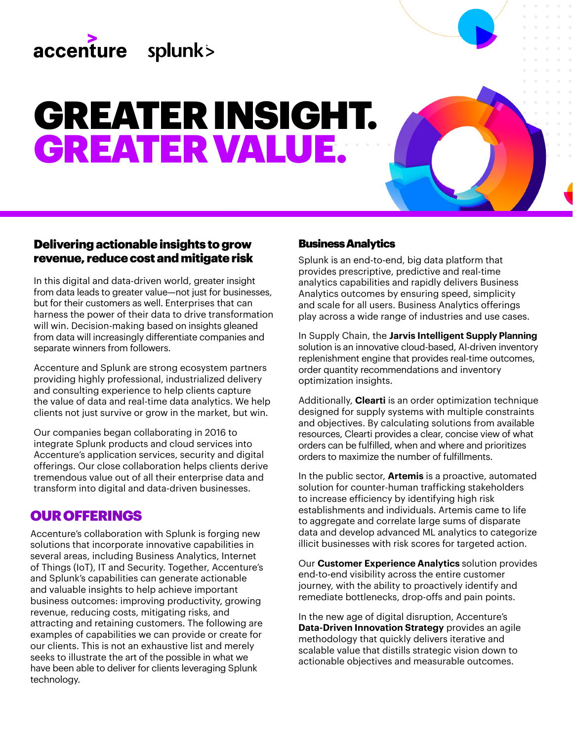

# GREATER INSIGHT. GREATER VALUE.

### Delivering actionable insights to grow revenue, reduce cost and mitigate risk

In this digital and data-driven world, greater insight from data leads to greater value—not just for businesses, but for their customers as well. Enterprises that can harness the power of their data to drive transformation will win. Decision-making based on insights gleaned from data will increasingly differentiate companies and separate winners from followers.

Accenture and Splunk are strong ecosystem partners providing highly professional, industrialized delivery and consulting experience to help clients capture the value of data and real-time data analytics. We help clients not just survive or grow in the market, but win.

Our companies began collaborating in 2016 to integrate Splunk products and cloud services into Accenture's application services, security and digital offerings. Our close collaboration helps clients derive tremendous value out of all their enterprise data and transform into digital and data-driven businesses.

# OUR OFFERINGS

Accenture's collaboration with Splunk is forging new solutions that incorporate innovative capabilities in several areas, including Business Analytics, Internet of Things (IoT), IT and Security. Together, Accenture's and Splunk's capabilities can generate actionable and valuable insights to help achieve important business outcomes: improving productivity, growing revenue, reducing costs, mitigating risks, and attracting and retaining customers. The following are examples of capabilities we can provide or create for our clients. This is not an exhaustive list and merely seeks to illustrate the art of the possible in what we have been able to deliver for clients leveraging Splunk technology.

#### Business Analytics

Splunk is an end-to-end, big data platform that provides prescriptive, predictive and real-time analytics capabilities and rapidly delivers Business Analytics outcomes by ensuring speed, simplicity and scale for all users. Business Analytics offerings play across a wide range of industries and use cases.

In Supply Chain, the **Jarvis Intelligent Supply Planning**  solution is an innovative cloud-based, AI-driven inventory replenishment engine that provides real-time outcomes, order quantity recommendations and inventory optimization insights.

Additionally, **Clearti** is an order optimization technique designed for supply systems with multiple constraints and objectives. By calculating solutions from available resources, Clearti provides a clear, concise view of what orders can be fulfilled, when and where and prioritizes orders to maximize the number of fulfillments.

In the public sector, **Artemis** is a proactive, automated solution for counter-human trafficking stakeholders to increase efficiency by identifying high risk establishments and individuals. Artemis came to life to aggregate and correlate large sums of disparate data and develop advanced ML analytics to categorize illicit businesses with risk scores for targeted action.

Our **Customer Experience Analytics** solution provides end-to-end visibility across the entire customer journey, with the ability to proactively identify and remediate bottlenecks, drop-offs and pain points.

In the new age of digital disruption, Accenture's **Data-Driven Innovation Strategy** provides an agile methodology that quickly delivers iterative and scalable value that distills strategic vision down to actionable objectives and measurable outcomes.